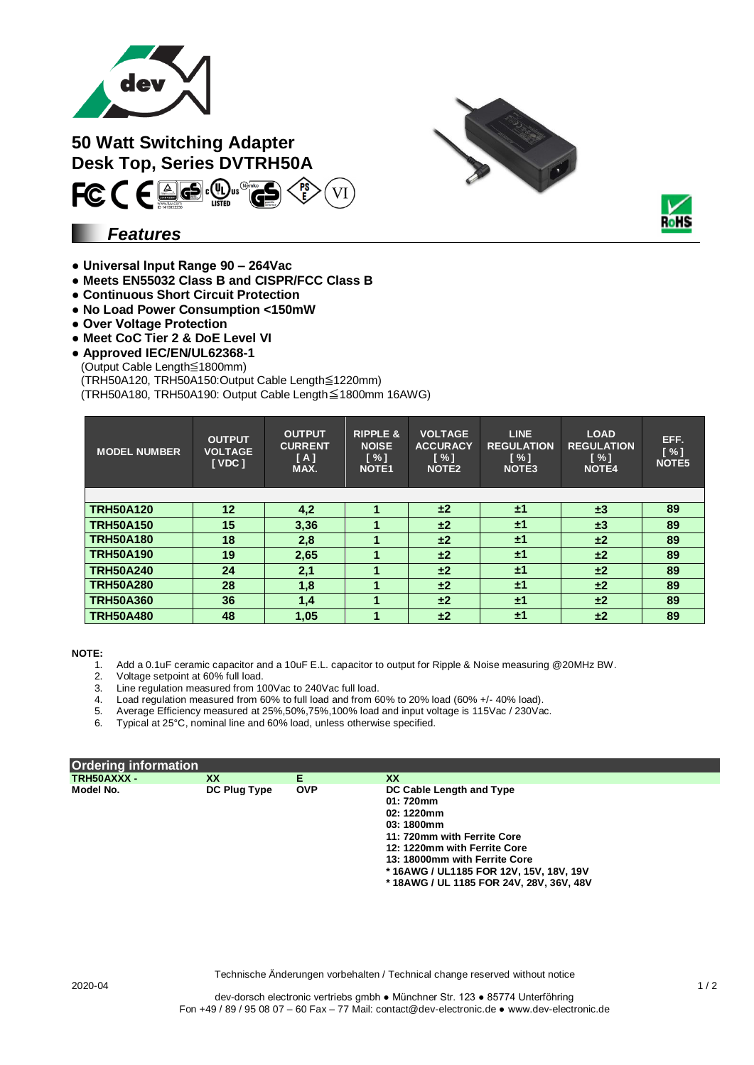

**50 Watt Switching Adapter Desk Top, Series DVTRH50A**

### *Features*

**● Universal Input Range 90 – 264Vac**

FCCEE. O.

- **Meets EN55032 Class B and CISPR/FCC Class B**
- **Continuous Short Circuit Protection**
- **No Load Power Consumption <150mW**
- **Over Voltage Protection**
- **Meet CoC Tier 2 & DoE Level VI**
- **Approved IEC/EN/UL62368-1**
- (Output Cable Length≦1800mm)

(TRH50A120, TRH50A150:Output Cable Length≦1220mm)

(TRH50A180, TRH50A190: Output Cable Length≦1800mm 16AWG)

| <b>MODEL NUMBER</b> | <b>OUTPUT</b><br><b>VOLTAGE</b><br><b>IVDC1</b> | <b>OUTPUT</b><br><b>CURRENT</b><br>[A]<br>MAX. | <b>RIPPLE &amp;</b><br><b>NOISE</b><br>[%]<br><b>NOTE1</b> | <b>VOLTAGE</b><br><b>ACCURACY</b><br>$N \sim 1$<br>NOTE <sub>2</sub> | LINE.<br><b>REGULATION</b><br>$\lceil \% \rceil$<br><b>NOTE3</b> | <b>LOAD</b><br><b>REGULATION</b><br>$N \sim 1$<br><b>NOTE4</b> | EFF.<br>[%]<br>NOTE5 |
|---------------------|-------------------------------------------------|------------------------------------------------|------------------------------------------------------------|----------------------------------------------------------------------|------------------------------------------------------------------|----------------------------------------------------------------|----------------------|
|                     |                                                 |                                                |                                                            |                                                                      |                                                                  |                                                                |                      |
| <b>TRH50A120</b>    | 12 <sup>°</sup>                                 | 4,2                                            |                                                            | ±2                                                                   | ±1                                                               | $\pm 3$                                                        | 89                   |
| <b>TRH50A150</b>    | 15                                              | 3,36                                           |                                                            | ±2                                                                   | ±1                                                               | $\pm 3$                                                        | 89                   |
| <b>TRH50A180</b>    | 18                                              | 2,8                                            |                                                            | ±2                                                                   | $\pm 1$                                                          | ±2                                                             | 89                   |
| <b>TRH50A190</b>    | 19                                              | 2,65                                           |                                                            | ±2                                                                   | $\pm 1$                                                          | ±2                                                             | 89                   |
| <b>TRH50A240</b>    | 24                                              | 2,1                                            |                                                            | ±2                                                                   | ±1                                                               | ±2                                                             | 89                   |
| <b>TRH50A280</b>    | 28                                              | 1,8                                            |                                                            | ±2                                                                   | $\pm 1$                                                          | ±2                                                             | 89                   |
| <b>TRH50A360</b>    | 36                                              | 1,4                                            |                                                            | ±2                                                                   | $\pm 1$                                                          | ±2                                                             | 89                   |
| <b>TRH50A480</b>    | 48                                              | 1,05                                           |                                                            | ±2                                                                   | ±1                                                               | ±2                                                             | 89                   |

**NOTE:**

- 1. Add a 0.1uF ceramic capacitor and a 10uF E.L. capacitor to output for Ripple & Noise measuring @20MHz BW.
- 2. Voltage setpoint at 60% full load.
- 2. Voltage setpoint at outo rull load.<br>3. Line regulation measured from 100Vac to 240Vac full load.
- 4. Load regulation measured from 60% to full load and from 60% to 20% load (60% +/- 40% load).
- 5. Average Efficiency measured at 25%,50%,75%,100% load and input voltage is 115Vac / 230Vac.
- 6. Typical at 25°C, nominal line and 60% load, unless otherwise specified.

| <b>Ordering information</b> |              |            |                                         |  |
|-----------------------------|--------------|------------|-----------------------------------------|--|
| TRH50AXXX -                 | <b>XX</b>    | Е          | <b>XX</b>                               |  |
| Model No.                   | DC Plug Type | <b>OVP</b> | DC Cable Length and Type                |  |
|                             |              |            | 01: 720mm                               |  |
|                             |              |            | 02: 1220mm                              |  |
|                             |              |            | 03:1800mm                               |  |
|                             |              |            | 11: 720mm with Ferrite Core             |  |
|                             |              |            | 12: 1220mm with Ferrite Core            |  |
|                             |              |            | 13: 18000mm with Ferrite Core           |  |
|                             |              |            | *16AWG / UL1185 FOR 12V, 15V, 18V, 19V  |  |
|                             |              |            | *18AWG / UL 1185 FOR 24V, 28V, 36V, 48V |  |

Technische Änderungen vorbehalten / Technical change reserved without notice

Ro II